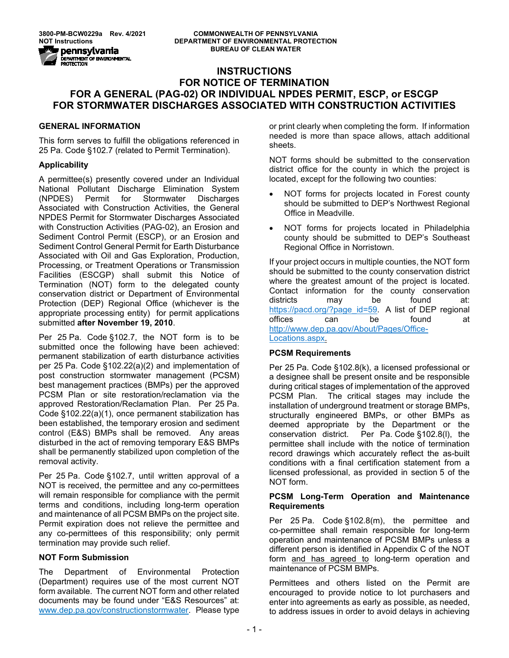# **INSTRUCTIONS FOR NOTICE OF TERMINATION FOR A GENERAL (PAG-02) OR INDIVIDUAL NPDES PERMIT, ESCP, or ESCGP FOR STORMWATER DISCHARGES ASSOCIATED WITH CONSTRUCTION ACTIVITIES**

#### **GENERAL INFORMATION**

This form serves to fulfill the obligations referenced in 25 Pa. Code §102.7 (related to Permit Termination).

#### **Applicability**

A permittee(s) presently covered under an Individual National Pollutant Discharge Elimination System (NPDES) Permit for Stormwater Discharges Associated with Construction Activities, the General NPDES Permit for Stormwater Discharges Associated with Construction Activities (PAG-02), an Erosion and Sediment Control Permit (ESCP), or an Erosion and Sediment Control General Permit for Earth Disturbance Associated with Oil and Gas Exploration, Production, Processing, or Treatment Operations or Transmission Facilities (ESCGP) shall submit this Notice of Termination (NOT) form to the delegated county conservation district or Department of Environmental Protection (DEP) Regional Office (whichever is the appropriate processing entity) for permit applications submitted **after November 19, 2010**.

Per 25 Pa. Code §102.7, the NOT form is to be submitted once the following have been achieved: permanent stabilization of earth disturbance activities per 25 Pa. Code §102.22(a)(2) and implementation of post construction stormwater management (PCSM) best management practices (BMPs) per the approved PCSM Plan or site restoration/reclamation via the approved Restoration/Reclamation Plan. Per 25 Pa. Code §102.22(a)(1), once permanent stabilization has been established, the temporary erosion and sediment control (E&S) BMPs shall be removed. Any areas disturbed in the act of removing temporary E&S BMPs shall be permanently stabilized upon completion of the removal activity.

Per 25 Pa. Code §102.7, until written approval of a NOT is received, the permittee and any co-permittees will remain responsible for compliance with the permit terms and conditions, including long-term operation and maintenance of all PCSM BMPs on the project site. Permit expiration does not relieve the permittee and any co-permittees of this responsibility; only permit termination may provide such relief.

#### **NOT Form Submission**

The Department of Environmental Protection (Department) requires use of the most current NOT form available. The current NOT form and other related documents may be found under "E&S Resources" at: [www.dep.pa.gov/constructionstormwater.](http://www.dep.pa.gov/constructionstormwater) Please type

or print clearly when completing the form. If information needed is more than space allows, attach additional sheets.

NOT forms should be submitted to the conservation district office for the county in which the project is located, except for the following two counties:

- NOT forms for projects located in Forest county should be submitted to DEP's Northwest Regional Office in Meadville.
- NOT forms for projects located in Philadelphia county should be submitted to DEP's Southeast Regional Office in Norristown.

If your project occurs in multiple counties, the NOT form should be submitted to the county conservation district where the greatest amount of the project is located. Contact information for the county conservation districts may be found at: [https://pacd.org/?page\\_id=59.](https://pacd.org/?page_id=59) A list of DEP regional offices can be found at [http://www.dep.pa.gov/About/Pages/Office-](http://www.dep.pa.gov/About/Pages/Office-Locations.aspx)[Locations.aspx.](http://www.dep.pa.gov/About/Pages/Office-Locations.aspx)

# **PCSM Requirements**

Per 25 Pa. Code §102.8(k), a licensed professional or a designee shall be present onsite and be responsible during critical stages of implementation of the approved PCSM Plan. The critical stages may include the installation of underground treatment or storage BMPs, structurally engineered BMPs, or other BMPs as deemed appropriate by the Department or the conservation district. Per Pa. Code §102.8(l), the permittee shall include with the notice of termination record drawings which accurately reflect the as-built conditions with a final certification statement from a licensed professional, as provided in section 5 of the NOT form.

#### **PCSM Long-Term Operation and Maintenance Requirements**

Per 25 Pa. Code §102.8(m), the permittee and co-permittee shall remain responsible for long-term operation and maintenance of PCSM BMPs unless a different person is identified in Appendix C of the NOT form and has agreed to long-term operation and maintenance of PCSM BMPs.

Permittees and others listed on the Permit are encouraged to provide notice to lot purchasers and enter into agreements as early as possible, as needed, to address issues in order to avoid delays in achieving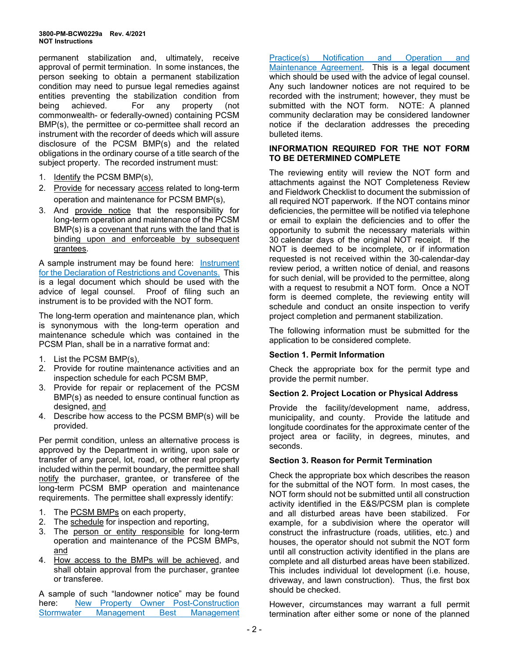permanent stabilization and, ultimately, receive approval of permit termination. In some instances, the person seeking to obtain a permanent stabilization condition may need to pursue legal remedies against entities preventing the stabilization condition from being achieved. For any property (not commonwealth- or federally-owned) containing PCSM BMP(s), the permittee or co-permittee shall record an instrument with the recorder of deeds which will assure disclosure of the PCSM BMP(s) and the related obligations in the ordinary course of a title search of the subject property. The recorded instrument must:

- 1. Identify the PCSM BMP(s),
- 2. Provide for necessary access related to long-term operation and maintenance for PCSM BMP(s),
- 3. And provide notice that the responsibility for long-term operation and maintenance of the PCSM BMP(s) is a covenant that runs with the land that is binding upon and enforceable by subsequent grantees.

A sample instrument may be found here: [Instrument](http://files.dep.state.pa.us/Water/BPNPSM/StormwaterManagement/ConstructionStormwater/InstrumentDeclarationRestrictionsCovenants.pdf)  [for the Declaration of Restrictions and Covenants.](http://files.dep.state.pa.us/Water/BPNPSM/StormwaterManagement/ConstructionStormwater/InstrumentDeclarationRestrictionsCovenants.pdf) This is a legal document which should be used with the advice of legal counsel. Proof of filing such an instrument is to be provided with the NOT form.

The long-term operation and maintenance plan, which is synonymous with the long-term operation and maintenance schedule which was contained in the PCSM Plan, shall be in a narrative format and:

- 1. List the PCSM BMP(s),
- 2. Provide for routine maintenance activities and an inspection schedule for each PCSM BMP,
- 3. Provide for repair or replacement of the PCSM BMP(s) as needed to ensure continual function as designed, and
- 4. Describe how access to the PCSM BMP(s) will be provided.

Per permit condition, unless an alternative process is approved by the Department in writing, upon sale or transfer of any parcel, lot, road, or other real property included within the permit boundary, the permittee shall notify the purchaser, grantee, or transferee of the long-term PCSM BMP operation and maintenance requirements. The permittee shall expressly identify:

- 1. The PCSM BMPs on each property,
- 2. The schedule for inspection and reporting,
- 3. The person or entity responsible for long-term operation and maintenance of the PCSM BMPs, and
- 4. How access to the BMPs will be achieved, and shall obtain approval from the purchaser, grantee or transferee.

A sample of such "landowner notice" may be found here: [New Property Owner Post-Construction](http://files.dep.state.pa.us/Water/BPNPSM/StormwaterManagement/ConstructionStormwater/NewPropertyOwnerNotificationForm.pdf)  [Stormwater Management Best Management](http://files.dep.state.pa.us/Water/BPNPSM/StormwaterManagement/ConstructionStormwater/NewPropertyOwnerNotificationForm.pdf)  [Practice\(s\) Notification and Operation and](http://files.dep.state.pa.us/Water/BPNPSM/StormwaterManagement/ConstructionStormwater/NewPropertyOwnerNotificationForm.pdf)  [Maintenance Agreement.](http://files.dep.state.pa.us/Water/BPNPSM/StormwaterManagement/ConstructionStormwater/NewPropertyOwnerNotificationForm.pdf) This is a legal document which should be used with the advice of legal counsel. Any such landowner notices are not required to be recorded with the instrument; however, they must be submitted with the NOT form. NOTE: A planned community declaration may be considered landowner notice if the declaration addresses the preceding bulleted items.

# **INFORMATION REQUIRED FOR THE NOT FORM TO BE DETERMINED COMPLETE**

The reviewing entity will review the NOT form and attachments against the NOT Completeness Review and Fieldwork Checklist to document the submission of all required NOT paperwork. If the NOT contains minor deficiencies, the permittee will be notified via telephone or email to explain the deficiencies and to offer the opportunity to submit the necessary materials within 30 calendar days of the original NOT receipt. If the NOT is deemed to be incomplete, or if information requested is not received within the 30-calendar-day review period, a written notice of denial, and reasons for such denial, will be provided to the permittee, along with a request to resubmit a NOT form. Once a NOT form is deemed complete, the reviewing entity will schedule and conduct an onsite inspection to verify project completion and permanent stabilization.

The following information must be submitted for the application to be considered complete.

# **Section 1. Permit Information**

Check the appropriate box for the permit type and provide the permit number.

# **Section 2. Project Location or Physical Address**

Provide the facility/development name, address, municipality, and county. Provide the latitude and longitude coordinates for the approximate center of the project area or facility, in degrees, minutes, and seconds.

#### **Section 3. Reason for Permit Termination**

Check the appropriate box which describes the reason for the submittal of the NOT form. In most cases, the NOT form should not be submitted until all construction activity identified in the E&S/PCSM plan is complete and all disturbed areas have been stabilized. For example, for a subdivision where the operator will construct the infrastructure (roads, utilities, etc.) and houses, the operator should not submit the NOT form until all construction activity identified in the plans are complete and all disturbed areas have been stabilized. This includes individual lot development (i.e. house, driveway, and lawn construction). Thus, the first box should be checked.

However, circumstances may warrant a full permit termination after either some or none of the planned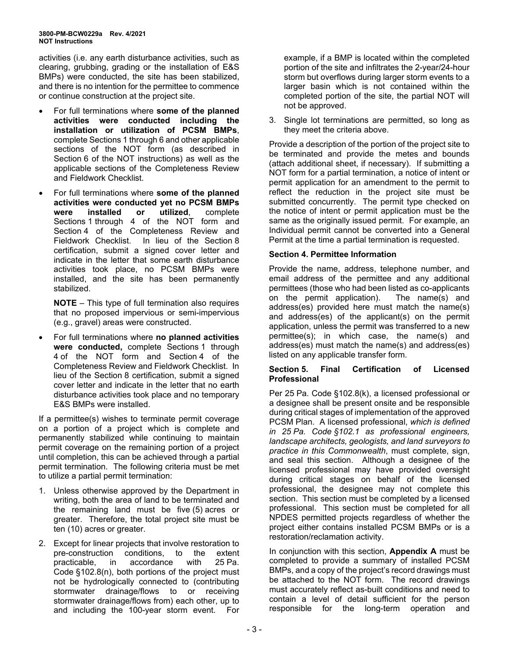activities (i.e. any earth disturbance activities, such as clearing, grubbing, grading or the installation of E&S BMPs) were conducted, the site has been stabilized, and there is no intention for the permittee to commence or continue construction at the project site.

- For full terminations where **some of the planned activities were conducted including the installation or utilization of PCSM BMPs**, complete Sections 1 through 6 and other applicable sections of the NOT form (as described in Section 6 of the NOT instructions) as well as the applicable sections of the Completeness Review and Fieldwork Checklist.
- For full terminations where **some of the planned activities were conducted yet no PCSM BMPs were installed or utilized**, complete Sections 1 through 4 of the NOT form and Section 4 of the Completeness Review and Fieldwork Checklist. In lieu of the Section 8 certification, submit a signed cover letter and indicate in the letter that some earth disturbance activities took place, no PCSM BMPs were installed, and the site has been permanently stabilized.

**NOTE** – This type of full termination also requires that no proposed impervious or semi-impervious (e.g., gravel) areas were constructed.

• For full terminations where **no planned activities were conducted,** complete Sections 1 through 4 of the NOT form and Section 4 of the Completeness Review and Fieldwork Checklist. In lieu of the Section 8 certification, submit a signed cover letter and indicate in the letter that no earth disturbance activities took place and no temporary E&S BMPs were installed.

If a permittee(s) wishes to terminate permit coverage on a portion of a project which is complete and permanently stabilized while continuing to maintain permit coverage on the remaining portion of a project until completion, this can be achieved through a partial permit termination. The following criteria must be met to utilize a partial permit termination:

- 1. Unless otherwise approved by the Department in writing, both the area of land to be terminated and the remaining land must be five (5) acres or greater. Therefore, the total project site must be ten (10) acres or greater.
- 2. Except for linear projects that involve restoration to pre-construction conditions, to the extent<br>practicable, in accordance with 25 Pa. practicable, in Code §102.8(n), both portions of the project must not be hydrologically connected to (contributing stormwater drainage/flows to or receiving stormwater drainage/flows from) each other, up to and including the 100-year storm event. For

example, if a BMP is located within the completed portion of the site and infiltrates the 2-year/24-hour storm but overflows during larger storm events to a larger basin which is not contained within the completed portion of the site, the partial NOT will not be approved.

3. Single lot terminations are permitted, so long as they meet the criteria above.

Provide a description of the portion of the project site to be terminated and provide the metes and bounds (attach additional sheet, if necessary). If submitting a NOT form for a partial termination, a notice of intent or permit application for an amendment to the permit to reflect the reduction in the project site must be submitted concurrently. The permit type checked on the notice of intent or permit application must be the same as the originally issued permit. For example, an Individual permit cannot be converted into a General Permit at the time a partial termination is requested.

# **Section 4. Permittee Information**

Provide the name, address, telephone number, and email address of the permittee and any additional permittees (those who had been listed as co-applicants<br>on the permit application). The name(s) and on the permit application). address(es) provided here must match the name(s) and address(es) of the applicant(s) on the permit application, unless the permit was transferred to a new permittee(s); in which case, the name(s) and address(es) must match the name(s) and address(es) listed on any applicable transfer form.

#### **Section 5. Final Certification of Licensed Professional**

Per 25 Pa. Code §102.8(k), a licensed professional or a designee shall be present onsite and be responsible during critical stages of implementation of the approved PCSM Plan. A licensed professional, *which is defined in 25 Pa. Code §102.1 as professional engineers, landscape architects, geologists, and land surveyors to practice in this Commonwealth*, must complete, sign, and seal this section. Although a designee of the licensed professional may have provided oversight during critical stages on behalf of the licensed professional, the designee may not complete this section. This section must be completed by a licensed professional. This section must be completed for all NPDES permitted projects regardless of whether the project either contains installed PCSM BMPs or is a restoration/reclamation activity.

In conjunction with this section, **Appendix A** must be completed to provide a summary of installed PCSM BMPs, and a copy of the project's record drawings must be attached to the NOT form. The record drawings must accurately reflect as-built conditions and need to contain a level of detail sufficient for the person responsible for the long-term operation and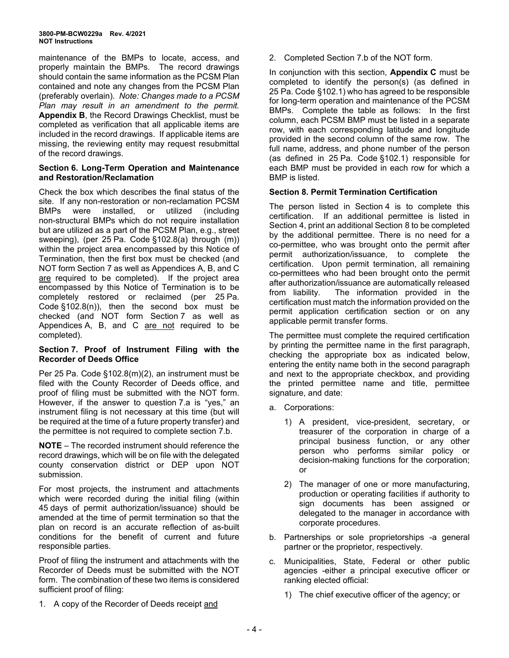maintenance of the BMPs to locate, access, and properly maintain the BMPs. The record drawings should contain the same information as the PCSM Plan contained and note any changes from the PCSM Plan (preferably overlain). *Note: Changes made to a PCSM Plan may result in an amendment to the permit.* **Appendix B**, the Record Drawings Checklist, must be completed as verification that all applicable items are included in the record drawings. If applicable items are missing, the reviewing entity may request resubmittal of the record drawings.

#### **Section 6. Long-Term Operation and Maintenance and Restoration/Reclamation**

Check the box which describes the final status of the site. If any non-restoration or non-reclamation PCSM were installed, or utilized (including non-structural BMPs which do not require installation but are utilized as a part of the PCSM Plan, e.g., street sweeping), (per 25 Pa. Code §102.8(a) through (m)) within the project area encompassed by this Notice of Termination, then the first box must be checked (and NOT form Section 7 as well as Appendices A, B, and C are required to be completed). If the project area encompassed by this Notice of Termination is to be completely restored or reclaimed (per 25 Pa. Code §102.8(n)), then the second box must be checked (and NOT form Section 7 as well as Appendices A, B, and C are not required to be completed).

# **Section 7. Proof of Instrument Filing with the Recorder of Deeds Office**

Per 25 Pa. Code §102.8(m)(2), an instrument must be filed with the County Recorder of Deeds office, and proof of filing must be submitted with the NOT form. However, if the answer to question 7.a is "yes," an instrument filing is not necessary at this time (but will be required at the time of a future property transfer) and the permittee is not required to complete section 7.b.

**NOTE** – The recorded instrument should reference the record drawings, which will be on file with the delegated county conservation district or DEP upon NOT submission.

For most projects, the instrument and attachments which were recorded during the initial filing (within 45 days of permit authorization/issuance) should be amended at the time of permit termination so that the plan on record is an accurate reflection of as-built conditions for the benefit of current and future responsible parties.

Proof of filing the instrument and attachments with the Recorder of Deeds must be submitted with the NOT form. The combination of these two items is considered sufficient proof of filing:

1. A copy of the Recorder of Deeds receipt and

2. Completed Section 7.b of the NOT form.

In conjunction with this section, **Appendix C** must be completed to identify the person(s) (as defined in 25 Pa. Code §102.1) who has agreed to be responsible for long-term operation and maintenance of the PCSM BMPs. Complete the table as follows: In the first column, each PCSM BMP must be listed in a separate row, with each corresponding latitude and longitude provided in the second column of the same row. The full name, address, and phone number of the person (as defined in 25 Pa. Code §102.1) responsible for each BMP must be provided in each row for which a BMP is listed.

# **Section 8. Permit Termination Certification**

The person listed in Section 4 is to complete this certification. If an additional permittee is listed in Section 4, print an additional Section 8 to be completed by the additional permittee. There is no need for a co-permittee, who was brought onto the permit after permit authorization/issuance, to complete the certification. Upon permit termination, all remaining co-permittees who had been brought onto the permit after authorization/issuance are automatically released from liability. The information provided in the certification must match the information provided on the permit application certification section or on any applicable permit transfer forms.

The permittee must complete the required certification by printing the permittee name in the first paragraph, checking the appropriate box as indicated below, entering the entity name both in the second paragraph and next to the appropriate checkbox, and providing the printed permittee name and title, permittee signature, and date:

- a. Corporations:
	- 1) A president, vice-president, secretary, or treasurer of the corporation in charge of a principal business function, or any other person who performs similar policy or decision-making functions for the corporation; or
	- 2) The manager of one or more manufacturing, production or operating facilities if authority to sign documents has been assigned or delegated to the manager in accordance with corporate procedures.
- b. Partnerships or sole proprietorships -a general partner or the proprietor, respectively.
- c. Municipalities, State, Federal or other public agencies -either a principal executive officer or ranking elected official:
	- 1) The chief executive officer of the agency; or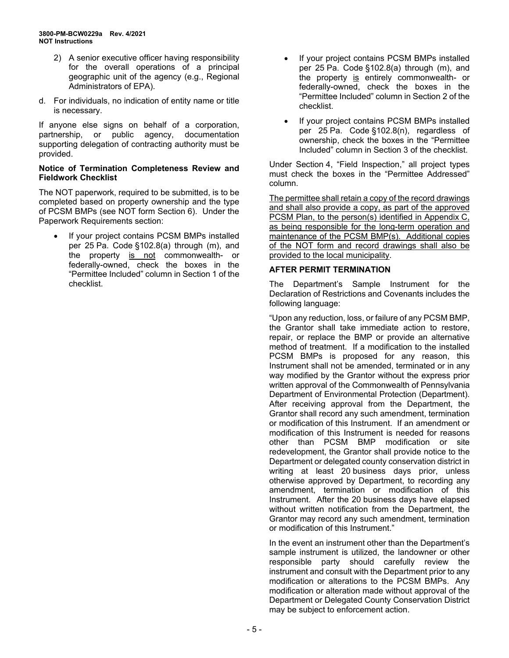- 2) A senior executive officer having responsibility for the overall operations of a principal geographic unit of the agency (e.g., Regional Administrators of EPA).
- d. For individuals, no indication of entity name or title is necessary.

If anyone else signs on behalf of a corporation, partnership, or public agency, documentation supporting delegation of contracting authority must be provided.

#### **Notice of Termination Completeness Review and Fieldwork Checklist**

The NOT paperwork, required to be submitted, is to be completed based on property ownership and the type of PCSM BMPs (see NOT form Section 6). Under the Paperwork Requirements section:

• If your project contains PCSM BMPs installed per 25 Pa. Code §102.8(a) through (m), and the property is not commonwealth- or federally-owned, check the boxes in the "Permittee Included" column in Section 1 of the checklist.

- If your project contains PCSM BMPs installed per 25 Pa. Code §102.8(a) through (m), and the property is entirely commonwealth- or federally-owned, check the boxes in the "Permittee Included" column in Section 2 of the checklist.
- If your project contains PCSM BMPs installed per 25 Pa. Code §102.8(n), regardless of ownership, check the boxes in the "Permittee Included" column in Section 3 of the checklist.

Under Section 4, "Field Inspection," all project types must check the boxes in the "Permittee Addressed" column.

The permittee shall retain a copy of the record drawings and shall also provide a copy, as part of the approved PCSM Plan, to the person(s) identified in Appendix C, as being responsible for the long-term operation and maintenance of the PCSM BMP(s). Additional copies of the NOT form and record drawings shall also be provided to the local municipality.

# **AFTER PERMIT TERMINATION**

The Department's Sample Instrument for the Declaration of Restrictions and Covenants includes the following language:

"Upon any reduction, loss, or failure of any PCSM BMP, the Grantor shall take immediate action to restore, repair, or replace the BMP or provide an alternative method of treatment. If a modification to the installed PCSM BMPs is proposed for any reason, this Instrument shall not be amended, terminated or in any way modified by the Grantor without the express prior written approval of the Commonwealth of Pennsylvania Department of Environmental Protection (Department). After receiving approval from the Department, the Grantor shall record any such amendment, termination or modification of this Instrument. If an amendment or modification of this Instrument is needed for reasons other than PCSM BMP modification or site redevelopment, the Grantor shall provide notice to the Department or delegated county conservation district in writing at least 20 business days prior, unless otherwise approved by Department, to recording any amendment, termination or modification of this Instrument. After the 20 business days have elapsed without written notification from the Department, the Grantor may record any such amendment, termination or modification of this Instrument."

In the event an instrument other than the Department's sample instrument is utilized, the landowner or other responsible party should carefully review the instrument and consult with the Department prior to any modification or alterations to the PCSM BMPs. Any modification or alteration made without approval of the Department or Delegated County Conservation District may be subject to enforcement action.